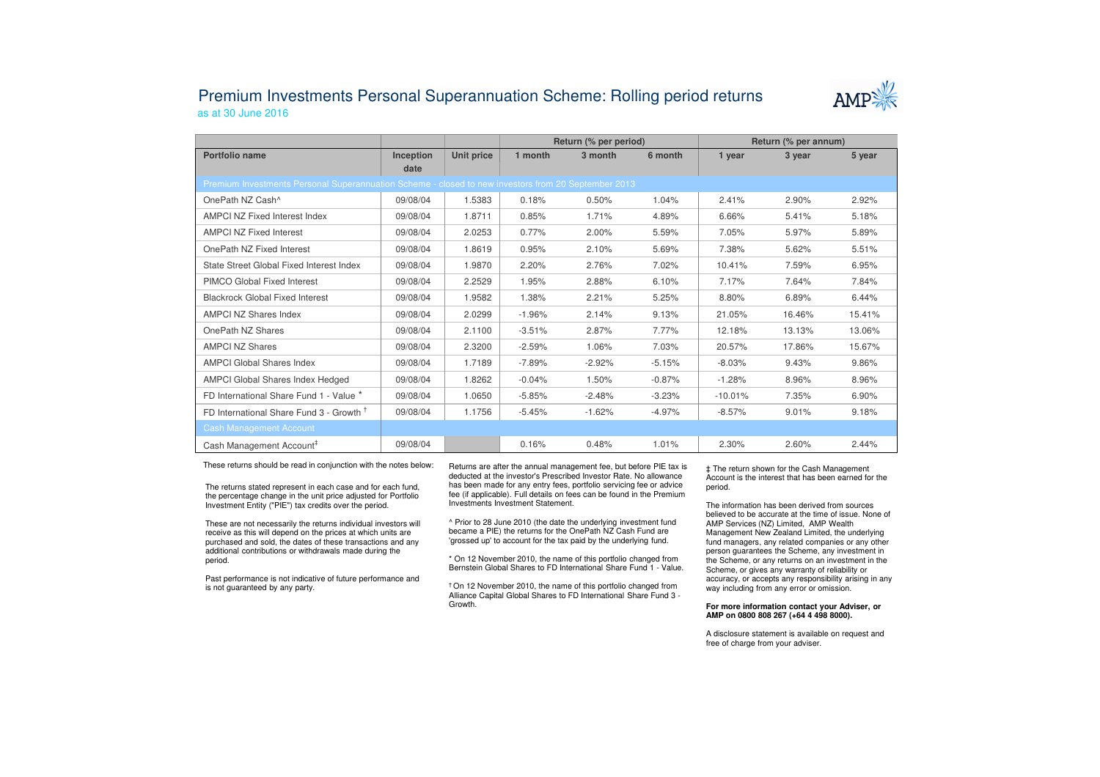## Premium Investments Personal Superannuation Scheme: Rolling period returnsas at 30 June 2016



|                                                                                                     |           |            | Return (% per period) |          |          | Return (% per annum) |        |        |  |  |  |  |
|-----------------------------------------------------------------------------------------------------|-----------|------------|-----------------------|----------|----------|----------------------|--------|--------|--|--|--|--|
| Portfolio name                                                                                      | Inception | Unit price | 1 month               | 3 month  | 6 month  | 1 year               | 3 year | 5 year |  |  |  |  |
|                                                                                                     | date      |            |                       |          |          |                      |        |        |  |  |  |  |
| Premium Investments Personal Superannuation Scheme - closed to new investors from 20 September 2013 |           |            |                       |          |          |                      |        |        |  |  |  |  |
| OnePath NZ Cash^                                                                                    | 09/08/04  | 1.5383     | 0.18%                 | 0.50%    | 1.04%    | 2.41%                | 2.90%  | 2.92%  |  |  |  |  |
| <b>AMPCI NZ Fixed Interest Index</b>                                                                | 09/08/04  | 1.8711     | 0.85%                 | 1.71%    | 4.89%    | 6.66%                | 5.41%  | 5.18%  |  |  |  |  |
| <b>AMPCI NZ Fixed Interest</b>                                                                      | 09/08/04  | 2.0253     | 0.77%                 | 2.00%    | 5.59%    | 7.05%                | 5.97%  | 5.89%  |  |  |  |  |
| OnePath NZ Fixed Interest                                                                           | 09/08/04  | 1.8619     | 0.95%                 | 2.10%    | 5.69%    | 7.38%                | 5.62%  | 5.51%  |  |  |  |  |
| State Street Global Fixed Interest Index                                                            | 09/08/04  | 1.9870     | 2.20%                 | 2.76%    | 7.02%    | 10.41%               | 7.59%  | 6.95%  |  |  |  |  |
| <b>PIMCO Global Fixed Interest</b>                                                                  | 09/08/04  | 2.2529     | 1.95%                 | 2.88%    | 6.10%    | 7.17%                | 7.64%  | 7.84%  |  |  |  |  |
| <b>Blackrock Global Fixed Interest</b>                                                              | 09/08/04  | 1.9582     | 1.38%                 | 2.21%    | 5.25%    | 8.80%                | 6.89%  | 6.44%  |  |  |  |  |
| <b>AMPCI NZ Shares Index</b>                                                                        | 09/08/04  | 2.0299     | $-1.96%$              | 2.14%    | 9.13%    | 21.05%               | 16.46% | 15.41% |  |  |  |  |
| OnePath NZ Shares                                                                                   | 09/08/04  | 2.1100     | $-3.51%$              | 2.87%    | 7.77%    | 12.18%               | 13.13% | 13.06% |  |  |  |  |
| <b>AMPCI NZ Shares</b>                                                                              | 09/08/04  | 2.3200     | $-2.59%$              | 1.06%    | 7.03%    | 20.57%               | 17.86% | 15.67% |  |  |  |  |
| <b>AMPCI Global Shares Index</b>                                                                    | 09/08/04  | 1.7189     | $-7.89%$              | $-2.92%$ | $-5.15%$ | $-8.03%$             | 9.43%  | 9.86%  |  |  |  |  |
| AMPCI Global Shares Index Hedged                                                                    | 09/08/04  | 1.8262     | $-0.04%$              | 1.50%    | $-0.87%$ | $-1.28%$             | 8.96%  | 8.96%  |  |  |  |  |
| FD International Share Fund 1 - Value *                                                             | 09/08/04  | 1.0650     | $-5.85%$              | $-2.48%$ | $-3.23%$ | $-10.01%$            | 7.35%  | 6.90%  |  |  |  |  |
| FD International Share Fund 3 - Growth <sup>†</sup>                                                 | 09/08/04  | 1.1756     | $-5.45%$              | $-1.62%$ | $-4.97%$ | $-8.57%$             | 9.01%  | 9.18%  |  |  |  |  |
| <b>Cash Management Account</b>                                                                      |           |            |                       |          |          |                      |        |        |  |  |  |  |
| Cash Management Account <sup>#</sup>                                                                | 09/08/04  |            | 0.16%                 | 0.48%    | 1.01%    | 2.30%                | 2.60%  | 2.44%  |  |  |  |  |

These returns should be read in conjunction with the notes below:

The returns stated represent in each case and for each fund, the percentage change in the unit price adjusted for Portfolio Investment Entity ("PIE") tax credits over the period.

These are not necessarily the returns individual investors will receive as this will depend on the prices at which units are purchased and sold, the dates of these transactions and any additional contributions or withdrawals made during the period.

Past performance is not indicative of future performance and is not guaranteed by any party.

Returns are after the annual management fee, but before PIE tax is deducted at the investor's Prescribed Investor Rate. No allowance has been made for any entry fees, portfolio servicing fee or advice fee (if applicable). Full details on fees can be found in the Premium Investments Investment Statement.

^ Prior to 28 June 2010 (the date the underlying investment fund became a PIE) the returns for the OnePath NZ Cash Fund are 'grossed up' to account for the tax paid by the underlying fund.

\* On 12 November 2010, the name of this portfolio changed from Bernstein Global Shares to FD International Share Fund 1 - Value.

† On 12 November 2010, the name of this portfolio changed from Alliance Capital Global Shares to FD International Share Fund 3 -Growth.

‡ The return shown for the Cash Management Account is the interest that has been earned for the period.

The information has been derived from sources believed to be accurate at the time of issue. None of AMP Services (NZ) Limited, AMP Wealth Management New Zealand Limited, the underlying fund managers, any related companies or any other person guarantees the Scheme, any investment in the Scheme, or any returns on an investment in the Scheme, or gives any warranty of reliability or accuracy, or accepts any responsibility arising in any way including from any error or omission.

## **For more information contact your Adviser, or AMP on 0800 808 267 (+64 4 498 8000).**

A disclosure statement is available on request and free of charge from your adviser.